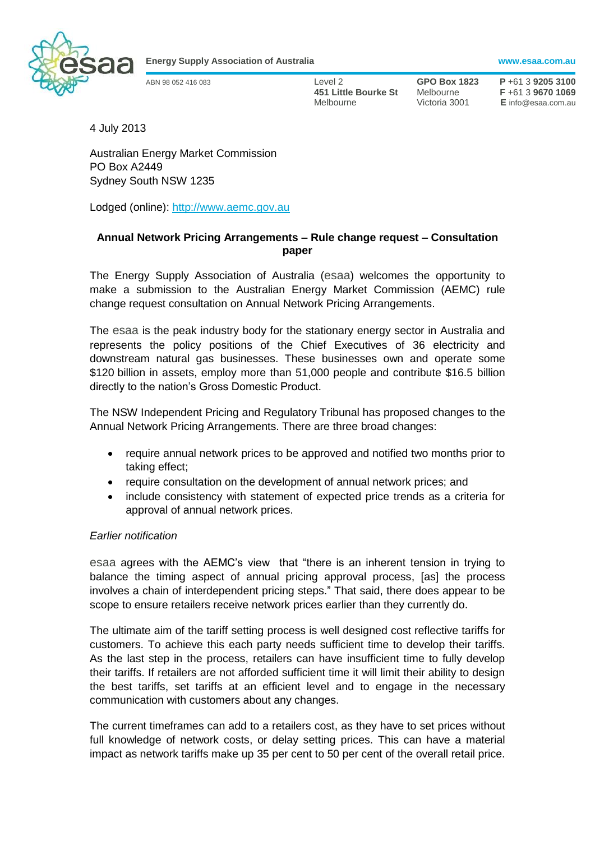

**Energy Supply Association of Australia www.esaa.com.au**

ABN 98 052 416 083 Level 2 **GPO Box 1823 P** +61 3 **9205 3100 451 Little Bourke St** Melbourne **F** +61 3 **9670 1069** Melbourne Victoria 3001 **E** info@esaa.com.au

4 July 2013

Australian Energy Market Commission PO Box A2449 Sydney South NSW 1235

Lodged (online): [http://www.aemc.gov.au](http://www.aemc.gov.au/)

## **Annual Network Pricing Arrangements – Rule change request – Consultation paper**

The Energy Supply Association of Australia (esaa) welcomes the opportunity to make a submission to the Australian Energy Market Commission (AEMC) rule change request consultation on Annual Network Pricing Arrangements.

The esaa is the peak industry body for the stationary energy sector in Australia and represents the policy positions of the Chief Executives of 36 electricity and downstream natural gas businesses. These businesses own and operate some \$120 billion in assets, employ more than 51,000 people and contribute \$16.5 billion directly to the nation's Gross Domestic Product.

The NSW Independent Pricing and Regulatory Tribunal has proposed changes to the Annual Network Pricing Arrangements. There are three broad changes:

- require annual network prices to be approved and notified two months prior to taking effect;
- require consultation on the development of annual network prices; and
- include consistency with statement of expected price trends as a criteria for approval of annual network prices.

## *Earlier notification*

esaa agrees with the AEMC's view that "there is an inherent tension in trying to balance the timing aspect of annual pricing approval process, [as] the process involves a chain of interdependent pricing steps." That said, there does appear to be scope to ensure retailers receive network prices earlier than they currently do.

The ultimate aim of the tariff setting process is well designed cost reflective tariffs for customers. To achieve this each party needs sufficient time to develop their tariffs. As the last step in the process, retailers can have insufficient time to fully develop their tariffs. If retailers are not afforded sufficient time it will limit their ability to design the best tariffs, set tariffs at an efficient level and to engage in the necessary communication with customers about any changes.

The current timeframes can add to a retailers cost, as they have to set prices without full knowledge of network costs, or delay setting prices. This can have a material impact as network tariffs make up 35 per cent to 50 per cent of the overall retail price.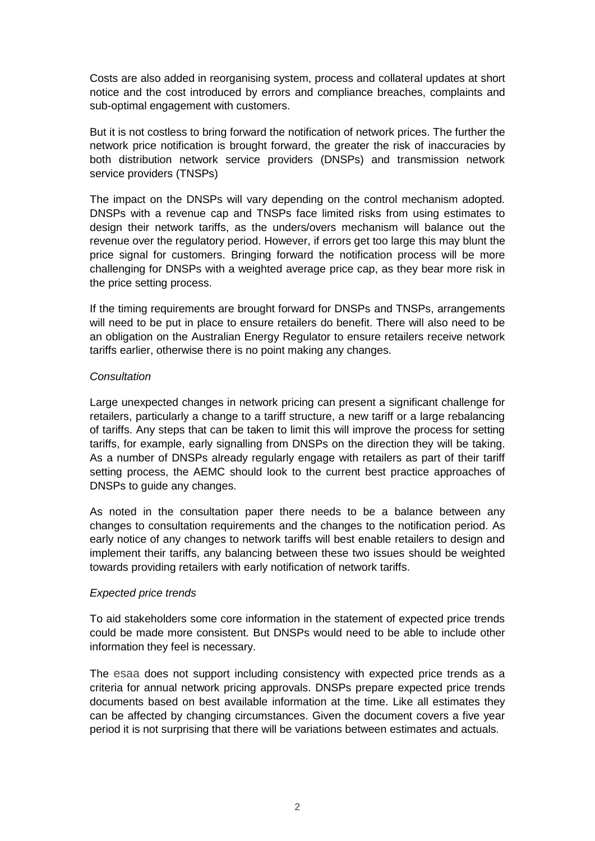Costs are also added in reorganising system, process and collateral updates at short notice and the cost introduced by errors and compliance breaches, complaints and sub-optimal engagement with customers.

But it is not costless to bring forward the notification of network prices. The further the network price notification is brought forward, the greater the risk of inaccuracies by both distribution network service providers (DNSPs) and transmission network service providers (TNSPs)

The impact on the DNSPs will vary depending on the control mechanism adopted. DNSPs with a revenue cap and TNSPs face limited risks from using estimates to design their network tariffs, as the unders/overs mechanism will balance out the revenue over the regulatory period. However, if errors get too large this may blunt the price signal for customers. Bringing forward the notification process will be more challenging for DNSPs with a weighted average price cap, as they bear more risk in the price setting process.

If the timing requirements are brought forward for DNSPs and TNSPs, arrangements will need to be put in place to ensure retailers do benefit. There will also need to be an obligation on the Australian Energy Regulator to ensure retailers receive network tariffs earlier, otherwise there is no point making any changes.

## *Consultation*

Large unexpected changes in network pricing can present a significant challenge for retailers, particularly a change to a tariff structure, a new tariff or a large rebalancing of tariffs. Any steps that can be taken to limit this will improve the process for setting tariffs, for example, early signalling from DNSPs on the direction they will be taking. As a number of DNSPs already regularly engage with retailers as part of their tariff setting process, the AEMC should look to the current best practice approaches of DNSPs to guide any changes.

As noted in the consultation paper there needs to be a balance between any changes to consultation requirements and the changes to the notification period. As early notice of any changes to network tariffs will best enable retailers to design and implement their tariffs, any balancing between these two issues should be weighted towards providing retailers with early notification of network tariffs.

## *Expected price trends*

To aid stakeholders some core information in the statement of expected price trends could be made more consistent. But DNSPs would need to be able to include other information they feel is necessary.

The esaa does not support including consistency with expected price trends as a criteria for annual network pricing approvals. DNSPs prepare expected price trends documents based on best available information at the time. Like all estimates they can be affected by changing circumstances. Given the document covers a five year period it is not surprising that there will be variations between estimates and actuals.